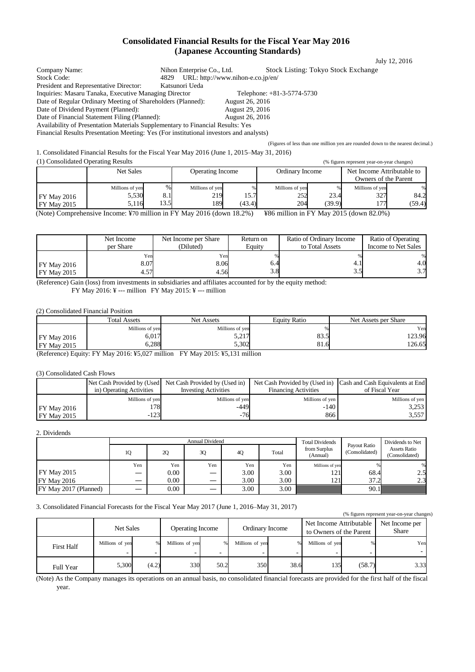# **Consolidated Financial Results for the Fiscal Year May 2016 (Japanese Accounting Standards)**

| Company Name:                                                                          | Nihon Enterprise Co., Ltd. |                                   | <b>Stock Listing: Tokyo Stock Exchange</b>                                      |  |
|----------------------------------------------------------------------------------------|----------------------------|-----------------------------------|---------------------------------------------------------------------------------|--|
| Stock Code:                                                                            | 4829                       | URL: http://www.nihon-e.co.jp/en/ |                                                                                 |  |
| President and Representative Director:                                                 | Katsunori Ueda             |                                   |                                                                                 |  |
| Inquiries: Masaru Tanaka, Executive Managing Director                                  |                            |                                   | Telephone: $+81-3-5774-5730$                                                    |  |
| Date of Regular Ordinary Meeting of Shareholders (Planned):                            |                            | August 26, 2016                   |                                                                                 |  |
| Date of Dividend Payment (Planned):                                                    |                            | <b>August 29, 2016</b>            |                                                                                 |  |
| Date of Financial Statement Filing (Planned):                                          |                            | August 26, 2016                   |                                                                                 |  |
| Availability of Presentation Materials Supplementary to Financial Results: Yes         |                            |                                   |                                                                                 |  |
| Financial Results Presentation Meeting: Yes (For institutional investors and analysts) |                            |                                   |                                                                                 |  |
|                                                                                        |                            |                                   | (Figures of less than one million yen are rounded down to the nearest decimal.) |  |

1. Consolidated Financial Results for the Fiscal Year May 2016 (June 1, 2015–May 31, 2016)

(1) Consolidated Operating Results (% figures represent year-on-year changes) Net Sales Operating Income Ordinary Income Net Income Attributable to Owners of the Parent FY May 2016 FY May 2015 Millions of ye 5,530 5,116 % 8.1 13.5 Millions of ye 219 189 % 15.7 (43.4) Millions of ye  $252$ 204 % 23.4 (39.9) Millions of yen 327 177

(Note) Comprehensive Income: ¥70 million in FY May 2016 (down 18.2%) ¥86 million in FY May 2015 (down 82.0%)

|                                     | Net Income           | Net Income per Share | Return on  | Ratio of Ordinary Income | Ratio of Operating  |
|-------------------------------------|----------------------|----------------------|------------|--------------------------|---------------------|
|                                     | per Share            | (Diluted)            | Eauitv     | to Total Assets          | Income to Net Sales |
| $FY$ May 2016<br><b>FY May 2015</b> | Yen<br>3.071<br>4.57 | Yen<br>8.06<br>4.56  | 6.4<br>3.8 | 4. 1<br>ر. ر             | 4.0<br>3.7          |

(Reference) Gain (loss) from investments in subsidiaries and affiliates accounted for by the equity method: FY May 2016: ¥ --- million FY May 2015: ¥ --- million

(2) Consolidated Financial Position

|                    | <b>Total Assets</b> | Net Assets       | <b>Equity Ratio</b> | Net Assets per Share |
|--------------------|---------------------|------------------|---------------------|----------------------|
|                    | Millions of yen     | Millions of ven  |                     | Yen                  |
| <b>FY May 2016</b> | 6.017               | 5.217<br>المصارب | റി<br>89.D          | 123.96               |
| <b>FY May 2015</b> | 6,288               | 5,302            | ດ 1<br>81.0         | 126.65               |

(Reference) Equity: FY May 2016: ¥5,027 million FY May 2015: ¥5,131 million

(3) Consolidated Cash Flows

|                    |                          | Net Cash Provided by (Used Net Cash Provided by (Used in) |                             | Net Cash Provided by (Used in) Cash and Cash Equivalents at End |
|--------------------|--------------------------|-----------------------------------------------------------|-----------------------------|-----------------------------------------------------------------|
|                    | in) Operating Activities | <b>Investing Activities</b>                               | <b>Financing Activities</b> | of Fiscal Year                                                  |
|                    | Millions of yen          | Millions of yen                                           | Millions of yen             | Millions of yen                                                 |
| <b>FY May 2016</b> | !78                      | $-449$                                                    | $-140$                      | 3.253                                                           |
| $FY$ May 2015      | $-123$                   | $-76$                                                     | 866                         | 3,557                                                           |

2. Dividends

|                       |     | <b>Annual Dividend</b> |                   |      |       |                          |                                | Dividends to Net                      |
|-----------------------|-----|------------------------|-------------------|------|-------|--------------------------|--------------------------------|---------------------------------------|
|                       | 10  | 2Q                     | 3Q                | 4Q   | Total | from Surplus<br>(Annual) | Payout Ratio<br>(Consolidated) | <b>Assets Ratio</b><br>(Consolidated) |
|                       | Yen | Yen                    | Yen               | Yen  | Yen   | Millions of yen          |                                | %                                     |
| <b>FY May 2015</b>    | –   | 0.00                   |                   | 3.00 | 3.00  | 121                      | 68.4                           | 2.5                                   |
| <b>FY May 2016</b>    |     | $0.00\,$               | $\hspace{0.05cm}$ | 3.00 | 3.00  | 121                      | 37.2                           | 2.3                                   |
| FY May 2017 (Planned) | —   | 0.00                   |                   | 3.00 | 3.00  |                          | 90.1                           |                                       |

3. Consolidated Financial Forecasts for the Fiscal Year May 2017 (June 1, 2016–May 31, 2017)

|                   | (% figures represent year-on-year changes) |       |                                            |      |                                                    |      |                         |        |      |
|-------------------|--------------------------------------------|-------|--------------------------------------------|------|----------------------------------------------------|------|-------------------------|--------|------|
|                   | Net Sales                                  |       | <b>Operating Income</b><br>Ordinary Income |      | Net Income Attributable<br>to Owners of the Parent |      | Net Income per<br>Share |        |      |
| <b>First Half</b> | Millions of yen                            |       | Millions of yen                            |      | Millions of yen                                    |      | Millions of yen         |        | Yen  |
| Full Year         | 5,300                                      | (4.2) | 330                                        | 50.2 | 350                                                | 38.6 | 135                     | (58.7) | 3.33 |

(Note) As the Company manages its operations on an annual basis, no consolidated financial forecasts are provided for the first half of the fiscal year.

July 12, 2016

% 84. (59.4)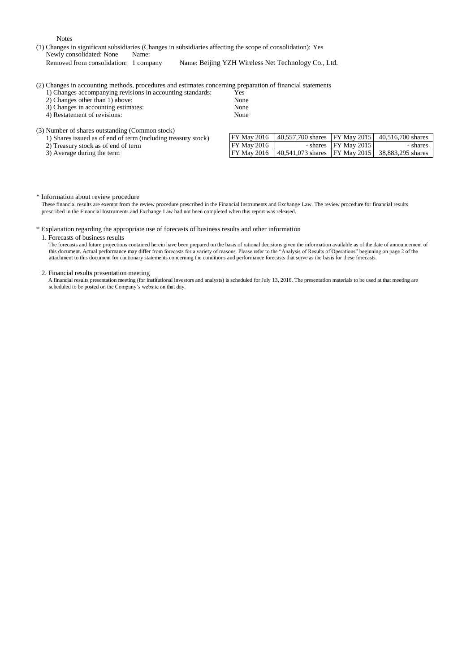Notes

(1) Changes in significant subsidiaries (Changes in subsidiaries affecting the scope of consolidation): Yes Newly consolidated: None Name:<br>Removed from consolidation: 1 company Name: Beijing YZH Wireless Net Technology Co., Ltd.

(2) Changes in accounting methods, procedures and estimates concerning preparation of financial statements

1) Changes accompanying revisions in accounting standards: Yes<br>2) Changes other than 1) above: None

2) Changes other than 1) above: None<br>
2) Changes in accounting estimates: None

- 3) Changes in accounting estimates: None<br>
4) Restatement of revisions: None
- 4) Restatement of revisions:

(3) Number of shares outstanding (Common stock)

1) Shares issued as of end of term (including treasury stock)

2) Treasury stock as of end of term

3) Average during the term

| FY May 2016        | 40,557,700 shares   FY May 2015   40,516,700 shares |                         |          |
|--------------------|-----------------------------------------------------|-------------------------|----------|
| FY May 2016        |                                                     | - shares $ FY$ May 2015 | - shares |
| <b>FY May 2016</b> | 40,541,073 shares FY May 2015 38,883,295 shares     |                         |          |

### \* Information about review procedure

These financial results are exempt from the review procedure prescribed in the Financial Instruments and Exchange Law. The review procedure for financial results prescribed in the Financial Instruments and Exchange Law had not been completed when this report was released.

### \* Explanation regarding the appropriate use of forecasts of business results and other information

#### 1. Forecasts of business results

The forecasts and future projections contained herein have been prepared on the basis of rational decisions given the information available as of the date of announcement of this document. Actual performance may differ from forecasts for a variety of reasons. Please refer to the "Analysis of Results of Operations" beginning on page 2 of the attachment to this document for cautionary statements concerning the conditions and performance forecasts that serve as the basis for these forecasts.

#### 2. Financial results presentation meeting

A financial results presentation meeting (for institutional investors and analysts) is scheduled for July 13, 2016. The presentation materials to be used at that meeting are scheduled to be posted on the Company's website on that day.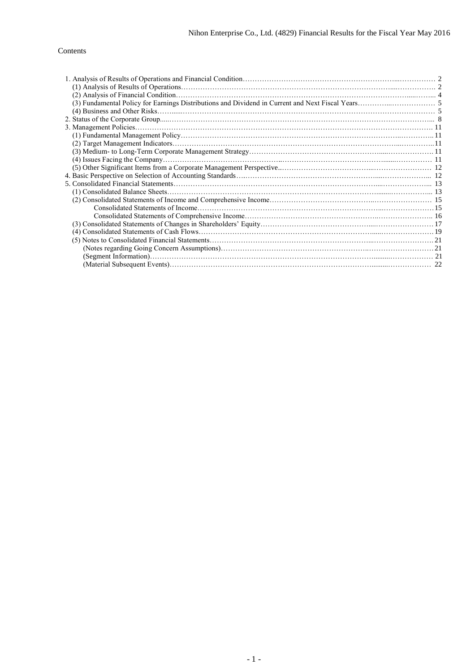# Contents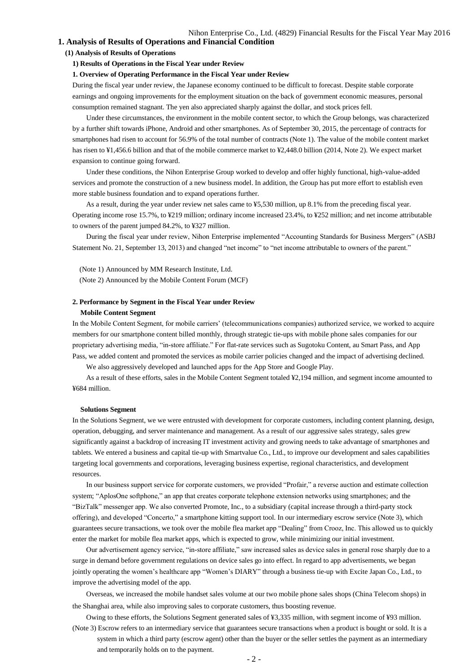# **1. Analysis of Results of Operations and Financial Condition**

# **(1) Analysis of Results of Operations**

### **1) Results of Operations in the Fiscal Year under Review**

# **1. Overview of Operating Performance in the Fiscal Year under Review**

During the fiscal year under review, the Japanese economy continued to be difficult to forecast. Despite stable corporate earnings and ongoing improvements for the employment situation on the back of government economic measures, personal consumption remained stagnant. The yen also appreciated sharply against the dollar, and stock prices fell.

Under these circumstances, the environment in the mobile content sector, to which the Group belongs, was characterized by a further shift towards iPhone, Android and other smartphones. As of September 30, 2015, the percentage of contracts for smartphones had risen to account for 56.9% of the total number of contracts (Note 1). The value of the mobile content market has risen to ¥1,456.6 billion and that of the mobile commerce market to ¥2,448.0 billion (2014, Note 2). We expect market expansion to continue going forward.

Under these conditions, the Nihon Enterprise Group worked to develop and offer highly functional, high-value-added services and promote the construction of a new business model. In addition, the Group has put more effort to establish even more stable business foundation and to expand operations further.

As a result, during the year under review net sales came to ¥5,530 million, up 8.1% from the preceding fiscal year. Operating income rose 15.7%, to ¥219 million; ordinary income increased 23.4%, to ¥252 million; and net income attributable to owners of the parent jumped 84.2%, to ¥327 million.

During the fiscal year under review, Nihon Enterprise implemented "Accounting Standards for Business Mergers" (ASBJ Statement No. 21, September 13, 2013) and changed "net income" to "net income attributable to owners of the parent."

(Note 1) Announced by MM Research Institute, Ltd. (Note 2) Announced by the Mobile Content Forum (MCF)

### **2. Performance by Segment in the Fiscal Year under Review**

#### **Mobile Content Segment**

In the Mobile Content Segment, for mobile carriers' (telecommunications companies) authorized service, we worked to acquire members for our smartphone content billed monthly, through strategic tie-ups with mobile phone sales companies for our proprietary advertising media, "in-store affiliate." For flat-rate services such as Sugotoku Content, au Smart Pass, and App Pass, we added content and promoted the services as mobile carrier policies changed and the impact of advertising declined.

We also aggressively developed and launched apps for the App Store and Google Play.

As a result of these efforts, sales in the Mobile Content Segment totaled ¥2,194 million, and segment income amounted to ¥684 million.

#### **Solutions Segment**

In the Solutions Segment, we we were entrusted with development for corporate customers, including content planning, design, operation, debugging, and server maintenance and management. As a result of our aggressive sales strategy, sales grew significantly against a backdrop of increasing IT investment activity and growing needs to take advantage of smartphones and tablets. We entered a business and capital tie-up with Smartvalue Co., Ltd., to improve our development and sales capabilities targeting local governments and corporations, leveraging business expertise, regional characteristics, and development resources.

In our business support service for corporate customers, we provided "Profair," a reverse auction and estimate collection system; "AplosOne softphone," an app that creates corporate telephone extension networks using smartphones; and the "BizTalk" messenger app. We also converted Promote, Inc., to a subsidiary (capital increase through a third-party stock offering), and developed "Concerto," a smartphone kitting support tool. In our intermediary escrow service (Note 3), which guarantees secure transactions, we took over the mobile flea market app "Dealing" from Crooz, Inc. This allowed us to quickly enter the market for mobile flea market apps, which is expected to grow, while minimizing our initial investment.

Our advertisement agency service, "in-store affiliate," saw increased sales as device sales in general rose sharply due to a surge in demand before government regulations on device sales go into effect. In regard to app advertisements, we began jointly operating the women's healthcare app "Women's DIARY" through a business tie-up with Excite Japan Co., Ltd., to improve the advertising model of the app.

Overseas, we increased the mobile handset sales volume at our two mobile phone sales shops (China Telecom shops) in the Shanghai area, while also improving sales to corporate customers, thus boosting revenue.

Owing to these efforts, the Solutions Segment generated sales of ¥3,335 million, with segment income of ¥93 million. (Note 3) Escrow refers to an intermediary service that guarantees secure transactions when a product is bought or sold. It is a

system in which a third party (escrow agent) other than the buyer or the seller settles the payment as an intermediary and temporarily holds on to the payment.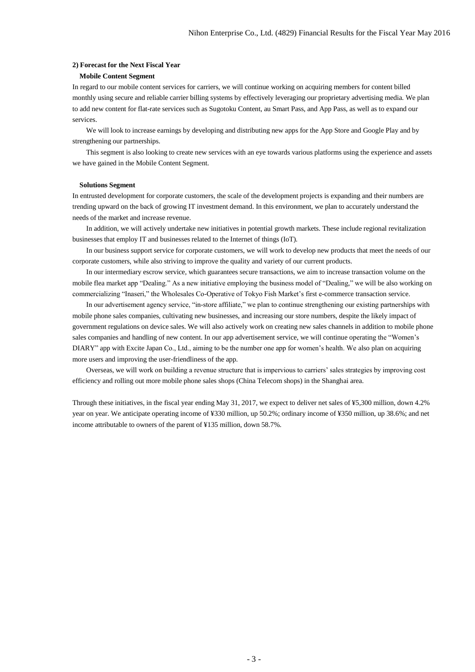### **2) Forecast for the Next Fiscal Year**

# **Mobile Content Segment**

In regard to our mobile content services for carriers, we will continue working on acquiring members for content billed monthly using secure and reliable carrier billing systems by effectively leveraging our proprietary advertising media. We plan to add new content for flat-rate services such as Sugotoku Content, au Smart Pass, and App Pass, as well as to expand our services.

We will look to increase earnings by developing and distributing new apps for the App Store and Google Play and by strengthening our partnerships.

This segment is also looking to create new services with an eye towards various platforms using the experience and assets we have gained in the Mobile Content Segment.

#### **Solutions Segment**

In entrusted development for corporate customers, the scale of the development projects is expanding and their numbers are trending upward on the back of growing IT investment demand. In this environment, we plan to accurately understand the needs of the market and increase revenue.

In addition, we will actively undertake new initiatives in potential growth markets. These include regional revitalization businesses that employ IT and businesses related to the Internet of things (IoT).

In our business support service for corporate customers, we will work to develop new products that meet the needs of our corporate customers, while also striving to improve the quality and variety of our current products.

In our intermediary escrow service, which guarantees secure transactions, we aim to increase transaction volume on the mobile flea market app "Dealing." As a new initiative employing the business model of "Dealing," we will be also working on commercializing "Inaseri," the Wholesales Co-Operative of Tokyo Fish Market's first e-commerce transaction service.

In our advertisement agency service, "in-store affiliate," we plan to continue strengthening our existing partnerships with mobile phone sales companies, cultivating new businesses, and increasing our store numbers, despite the likely impact of government regulations on device sales. We will also actively work on creating new sales channels in addition to mobile phone sales companies and handling of new content. In our app advertisement service, we will continue operating the "Women's DIARY" app with Excite Japan Co., Ltd., aiming to be the number one app for women's health. We also plan on acquiring more users and improving the user-friendliness of the app.

Overseas, we will work on building a revenue structure that is impervious to carriers' sales strategies by improving cost efficiency and rolling out more mobile phone sales shops (China Telecom shops) in the Shanghai area.

Through these initiatives, in the fiscal year ending May 31, 2017, we expect to deliver net sales of ¥5,300 million, down 4.2% year on year. We anticipate operating income of ¥330 million, up 50.2%; ordinary income of ¥350 million, up 38.6%; and net income attributable to owners of the parent of ¥135 million, down 58.7%.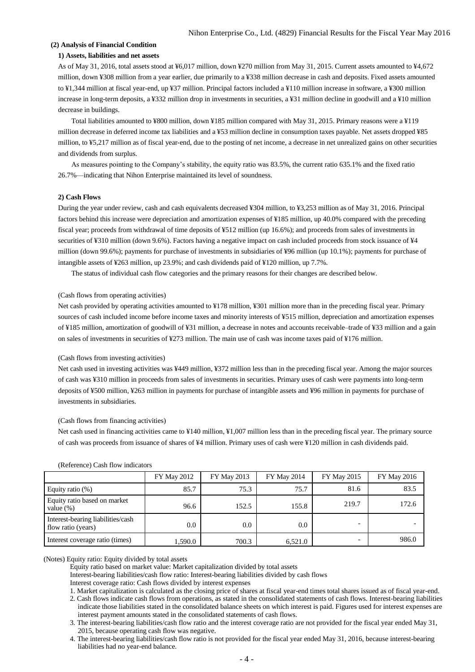# **(2) Analysis of Financial Condition**

# **1) Assets, liabilities and net assets**

As of May 31, 2016, total assets stood at ¥6,017 million, down ¥270 million from May 31, 2015. Current assets amounted to ¥4,672 million, down ¥308 million from a year earlier, due primarily to a ¥338 million decrease in cash and deposits. Fixed assets amounted to ¥1,344 million at fiscal year-end, up ¥37 million. Principal factors included a ¥110 million increase in software, a ¥300 million increase in long-term deposits, a ¥332 million drop in investments in securities, a ¥31 million decline in goodwill and a ¥10 million decrease in buildings.

Total liabilities amounted to ¥800 million, down ¥185 million compared with May 31, 2015. Primary reasons were a ¥119 million decrease in deferred income tax liabilities and a ¥53 million decline in consumption taxes payable. Net assets dropped ¥85 million, to ¥5,217 million as of fiscal year-end, due to the posting of net income, a decrease in net unrealized gains on other securities and dividends from surplus.

As measures pointing to the Company's stability, the equity ratio was 83.5%, the current ratio 635.1% and the fixed ratio 26.7%—indicating that Nihon Enterprise maintained its level of soundness.

# **2) Cash Flows**

During the year under review, cash and cash equivalents decreased ¥304 million, to ¥3,253 million as of May 31, 2016. Principal factors behind this increase were depreciation and amortization expenses of ¥185 million, up 40.0% compared with the preceding fiscal year; proceeds from withdrawal of time deposits of ¥512 million (up 16.6%); and proceeds from sales of investments in securities of ¥310 million (down 9.6%). Factors having a negative impact on cash included proceeds from stock issuance of ¥4 million (down 99.6%); payments for purchase of investments in subsidiaries of ¥96 million (up 10.1%); payments for purchase of intangible assets of ¥263 million, up 23.9%; and cash dividends paid of ¥120 million, up 7.7%.

The status of individual cash flow categories and the primary reasons for their changes are described below.

### (Cash flows from operating activities)

Net cash provided by operating activities amounted to ¥178 million, ¥301 million more than in the preceding fiscal year. Primary sources of cash included income before income taxes and minority interests of ¥515 million, depreciation and amortization expenses of ¥185 million, amortization of goodwill of ¥31 million, a decrease in notes and accounts receivable–trade of ¥33 million and a gain on sales of investments in securities of ¥273 million. The main use of cash was income taxes paid of ¥176 million.

#### (Cash flows from investing activities)

Net cash used in investing activities was ¥449 million, ¥372 million less than in the preceding fiscal year. Among the major sources of cash was ¥310 million in proceeds from sales of investments in securities. Primary uses of cash were payments into long-term deposits of ¥500 million, ¥263 million in payments for purchase of intangible assets and ¥96 million in payments for purchase of investments in subsidiaries.

#### (Cash flows from financing activities)

Net cash used in financing activities came to ¥140 million, ¥1,007 million less than in the preceding fiscal year. The primary source of cash was proceeds from issuance of shares of ¥4 million. Primary uses of cash were ¥120 million in cash dividends paid.

|                                                         | <b>FY May 2012</b> | <b>FY May 2013</b> | <b>FY May 2014</b> | <b>FY May 2015</b>       | <b>FY May 2016</b> |
|---------------------------------------------------------|--------------------|--------------------|--------------------|--------------------------|--------------------|
| Equity ratio $(\%)$                                     | 85.7               | 75.3               | 75.7               | 81.6                     | 83.5               |
| Equity ratio based on market<br>value $(\%)$            | 96.6               | 152.5              | 155.8              | 219.7                    | 172.6              |
| Interest-bearing liabilities/cash<br>flow ratio (years) | 0.0                | 0.0                | 0.0                | ۰                        |                    |
| Interest coverage ratio (times)                         | 1,590.0            | 700.3              | 6,521.0            | $\overline{\phantom{0}}$ | 986.0              |

### (Reference) Cash flow indicators

### (Notes) Equity ratio: Equity divided by total assets

Equity ratio based on market value: Market capitalization divided by total assets

Interest-bearing liabilities/cash flow ratio: Interest-bearing liabilities divided by cash flows

Interest coverage ratio: Cash flows divided by interest expenses

1. Market capitalization is calculated as the closing price of shares at fiscal year-end times total shares issued as of fiscal year-end.

2. Cash flows indicate cash flows from operations, as stated in the consolidated statements of cash flows. Interest-bearing liabilities indicate those liabilities stated in the consolidated balance sheets on which interest is paid. Figures used for interest expenses are interest payment amounts stated in the consolidated statements of cash flows.

3. The interest-bearing liabilities/cash flow ratio and the interest coverage ratio are not provided for the fiscal year ended May 31, 2015, because operating cash flow was negative.

4. The interest-bearing liabilities/cash flow ratio is not provided for the fiscal year ended May 31, 2016, because interest-bearing liabilities had no year-end balance.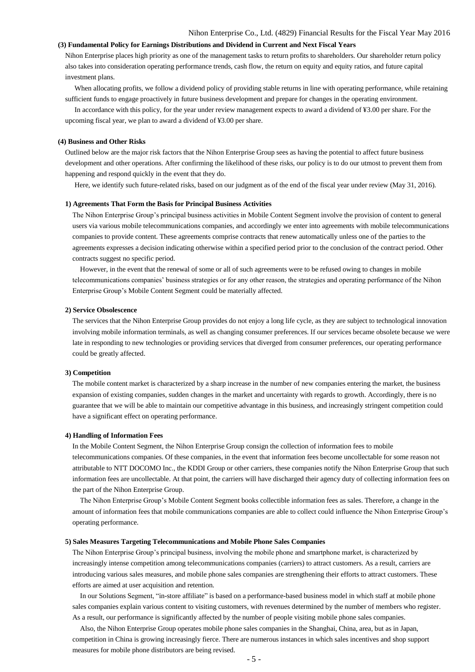# **(3) Fundamental Policy for Earnings Distributions and Dividend in Current and Next Fiscal Years**

Nihon Enterprise places high priority as one of the management tasks to return profits to shareholders. Our shareholder return policy also takes into consideration operating performance trends, cash flow, the return on equity and equity ratios, and future capital investment plans.

When allocating profits, we follow a dividend policy of providing stable returns in line with operating performance, while retaining sufficient funds to engage proactively in future business development and prepare for changes in the operating environment. In accordance with this policy, for the year under review management expects to award a dividend of ¥3.00 per share. For the

upcoming fiscal year, we plan to award a dividend of ¥3.00 per share.

#### **(4) Business and Other Risks**

Outlined below are the major risk factors that the Nihon Enterprise Group sees as having the potential to affect future business development and other operations. After confirming the likelihood of these risks, our policy is to do our utmost to prevent them from happening and respond quickly in the event that they do.

Here, we identify such future-related risks, based on our judgment as of the end of the fiscal year under review (May 31, 2016).

### **1) Agreements That Form the Basis for Principal Business Activities**

The Nihon Enterprise Group's principal business activities in Mobile Content Segment involve the provision of content to general users via various mobile telecommunications companies, and accordingly we enter into agreements with mobile telecommunications companies to provide content. These agreements comprise contracts that renew automatically unless one of the parties to the agreements expresses a decision indicating otherwise within a specified period prior to the conclusion of the contract period. Other contracts suggest no specific period.

However, in the event that the renewal of some or all of such agreements were to be refused owing to changes in mobile telecommunications companies' business strategies or for any other reason, the strategies and operating performance of the Nihon Enterprise Group's Mobile Content Segment could be materially affected.

### **2) Service Obsolescence**

The services that the Nihon Enterprise Group provides do not enjoy a long life cycle, as they are subject to technological innovation involving mobile information terminals, as well as changing consumer preferences. If our services became obsolete because we were late in responding to new technologies or providing services that diverged from consumer preferences, our operating performance could be greatly affected.

#### **3) Competition**

The mobile content market is characterized by a sharp increase in the number of new companies entering the market, the business expansion of existing companies, sudden changes in the market and uncertainty with regards to growth. Accordingly, there is no guarantee that we will be able to maintain our competitive advantage in this business, and increasingly stringent competition could have a significant effect on operating performance.

#### **4) Handling of Information Fees**

In the Mobile Content Segment, the Nihon Enterprise Group consign the collection of information fees to mobile telecommunications companies. Of these companies, in the event that information fees become uncollectable for some reason not attributable to NTT DOCOMO Inc., the KDDI Group or other carriers, these companies notify the Nihon Enterprise Group that such information fees are uncollectable. At that point, the carriers will have discharged their agency duty of collecting information fees on the part of the Nihon Enterprise Group.

The Nihon Enterprise Group's Mobile Content Segment books collectible information fees as sales. Therefore, a change in the amount of information fees that mobile communications companies are able to collect could influence the Nihon Enterprise Group's operating performance.

#### **5) Sales Measures Targeting Telecommunications and Mobile Phone Sales Companies**

The Nihon Enterprise Group's principal business, involving the mobile phone and smartphone market, is characterized by increasingly intense competition among telecommunications companies (carriers) to attract customers. As a result, carriers are introducing various sales measures, and mobile phone sales companies are strengthening their efforts to attract customers. These efforts are aimed at user acquisition and retention.

In our Solutions Segment, "in-store affiliate" is based on a performance-based business model in which staff at mobile phone sales companies explain various content to visiting customers, with revenues determined by the number of members who register. As a result, our performance is significantly affected by the number of people visiting mobile phone sales companies.

Also, the Nihon Enterprise Group operates mobile phone sales companies in the Shanghai, China, area, but as in Japan, competition in China is growing increasingly fierce. There are numerous instances in which sales incentives and shop support measures for mobile phone distributors are being revised.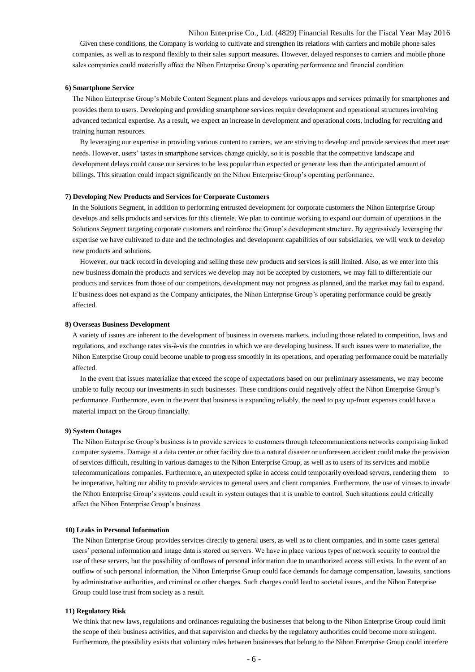Given these conditions, the Company is working to cultivate and strengthen its relations with carriers and mobile phone sales companies, as well as to respond flexibly to their sales support measures. However, delayed responses to carriers and mobile phone sales companies could materially affect the Nihon Enterprise Group's operating performance and financial condition.

#### **6) Smartphone Service**

The Nihon Enterprise Group's Mobile Content Segment plans and develops various apps and services primarily for smartphones and provides them to users. Developing and providing smartphone services require development and operational structures involving advanced technical expertise. As a result, we expect an increase in development and operational costs, including for recruiting and training human resources.

By leveraging our expertise in providing various content to carriers, we are striving to develop and provide services that meet user needs. However, users' tastes in smartphone services change quickly, so it is possible that the competitive landscape and development delays could cause our services to be less popular than expected or generate less than the anticipated amount of billings. This situation could impact significantly on the Nihon Enterprise Group's operating performance.

#### **7) Developing New Products and Services for Corporate Customers**

In the Solutions Segment, in addition to performing entrusted development for corporate customers the Nihon Enterprise Group develops and sells products and services for this clientele. We plan to continue working to expand our domain of operations in the Solutions Segment targeting corporate customers and reinforce the Group's development structure. By aggressively leveraging the expertise we have cultivated to date and the technologies and development capabilities of our subsidiaries, we will work to develop new products and solutions.

However, our track record in developing and selling these new products and services is still limited. Also, as we enter into this new business domain the products and services we develop may not be accepted by customers, we may fail to differentiate our products and services from those of our competitors, development may not progress as planned, and the market may fail to expand. If business does not expand as the Company anticipates, the Nihon Enterprise Group's operating performance could be greatly affected.

### **8) Overseas Business Development**

A variety of issues are inherent to the development of business in overseas markets, including those related to competition, laws and regulations, and exchange rates vis-à-vis the countries in which we are developing business. If such issues were to materialize, the Nihon Enterprise Group could become unable to progress smoothly in its operations, and operating performance could be materially affected.

In the event that issues materialize that exceed the scope of expectations based on our preliminary assessments, we may become unable to fully recoup our investments in such businesses. These conditions could negatively affect the Nihon Enterprise Group's performance. Furthermore, even in the event that business is expanding reliably, the need to pay up-front expenses could have a material impact on the Group financially.

### **9) System Outages**

The Nihon Enterprise Group's business is to provide services to customers through telecommunications networks comprising linked computer systems. Damage at a data center or other facility due to a natural disaster or unforeseen accident could make the provision of services difficult, resulting in various damages to the Nihon Enterprise Group, as well as to users of its services and mobile telecommunications companies. Furthermore, an unexpected spike in access could temporarily overload servers, rendering them to be inoperative, halting our ability to provide services to general users and client companies. Furthermore, the use of viruses to invade the Nihon Enterprise Group's systems could result in system outages that it is unable to control. Such situations could critically affect the Nihon Enterprise Group's business.

#### **10) Leaks in Personal Information**

The Nihon Enterprise Group provides services directly to general users, as well as to client companies, and in some cases general users' personal information and image data is stored on servers. We have in place various types of network security to control the use of these servers, but the possibility of outflows of personal information due to unauthorized access still exists. In the event of an outflow of such personal information, the Nihon Enterprise Group could face demands for damage compensation, lawsuits, sanctions by administrative authorities, and criminal or other charges. Such charges could lead to societal issues, and the Nihon Enterprise Group could lose trust from society as a result.

### **11) Regulatory Risk**

We think that new laws, regulations and ordinances regulating the businesses that belong to the Nihon Enterprise Group could limit the scope of their business activities, and that supervision and checks by the regulatory authorities could become more stringent. Furthermore, the possibility exists that voluntary rules between businesses that belong to the Nihon Enterprise Group could interfere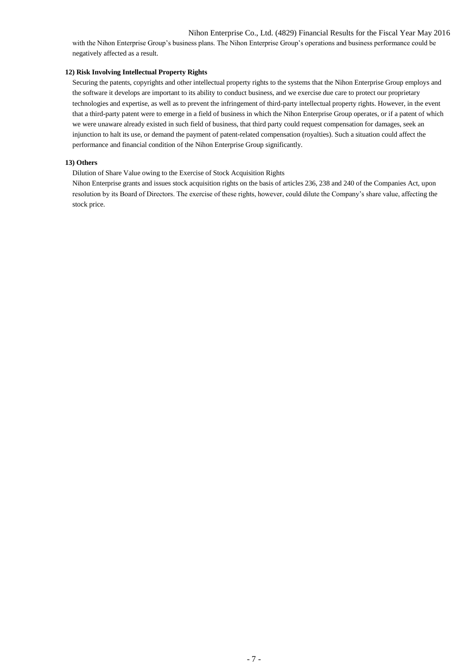with the Nihon Enterprise Group's business plans. The Nihon Enterprise Group's operations and business performance could be negatively affected as a result.

# **12) Risk Involving Intellectual Property Rights**

Securing the patents, copyrights and other intellectual property rights to the systems that the Nihon Enterprise Group employs and the software it develops are important to its ability to conduct business, and we exercise due care to protect our proprietary technologies and expertise, as well as to prevent the infringement of third-party intellectual property rights. However, in the event that a third-party patent were to emerge in a field of business in which the Nihon Enterprise Group operates, or if a patent of which we were unaware already existed in such field of business, that third party could request compensation for damages, seek an injunction to halt its use, or demand the payment of patent-related compensation (royalties). Such a situation could affect the performance and financial condition of the Nihon Enterprise Group significantly.

# **13) Others**

Dilution of Share Value owing to the Exercise of Stock Acquisition Rights

Nihon Enterprise grants and issues stock acquisition rights on the basis of articles 236, 238 and 240 of the Companies Act, upon resolution by its Board of Directors. The exercise of these rights, however, could dilute the Company's share value, affecting the stock price.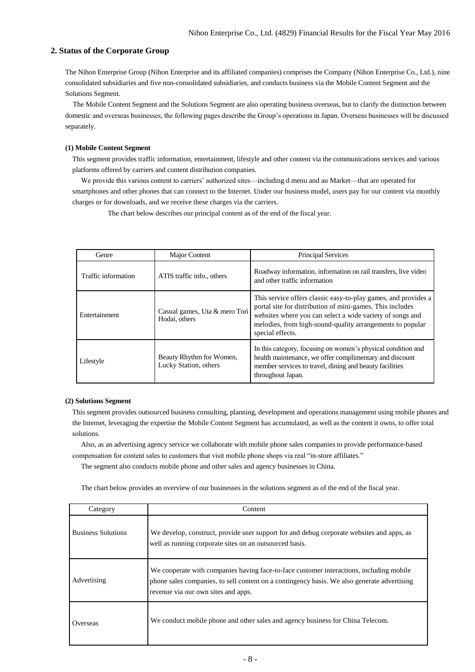# **2. Status of the Corporate Group**

The Nihon Enterprise Group (Nihon Enterprise and its affiliated companies) comprises the Company (Nihon Enterprise Co., Ltd.), nine consolidated subsidiaries and five non-consolidated subsidiaries, and conducts business via the Mobile Content Segment and the Solutions Segment.

The Mobile Content Segment and the Solutions Segment are also operating business overseas, but to clarify the distinction between domestic and overseas businesses, the following pages describe the Group's operations in Japan. Overseas businesses will be discussed separately.

# **(1) Mobile Content Segment**

This segment provides traffic information, entertainment, lifestyle and other content via the communications services and various platforms offered by carriers and content distribution companies.

We provide this various content to carriers' authorized sites—including d menu and au Market—that are operated for smartphones and other phones that can connect to the Internet. Under our business model, users pay for our content via monthly charges or for downloads, and we receive these charges via the carriers.

The chart below describes our principal content as of the end of the fiscal year.

| Genre               | Major Content                                     | <b>Principal Services</b>                                                                                                                                                                                                                                                 |
|---------------------|---------------------------------------------------|---------------------------------------------------------------------------------------------------------------------------------------------------------------------------------------------------------------------------------------------------------------------------|
| Traffic information | ATIS traffic info., others                        | Roadway information, information on rail transfers, live video<br>and other traffic information                                                                                                                                                                           |
| Entertainment       | Casual games, Uta & mero Tori<br>Hodai, others    | This service offers classic easy-to-play games, and provides a<br>portal site for distribution of mini-games. This includes<br>websites where you can select a wide variety of songs and<br>melodies, from high-sound-quality arrangements to popular<br>special effects. |
| Lifestyle           | Beauty Rhythm for Women,<br>Lucky Station, others | In this category, focusing on women's physical condition and<br>health maintenance, we offer complimentary and discount<br>member services to travel, dining and beauty facilities<br>throughout Japan.                                                                   |

# **(2) Solutions Segment**

This segment provides outsourced business consulting, planning, development and operations management using mobile phones and the Internet, leveraging the expertise the Mobile Content Segment has accumulated, as well as the content it owns, to offer total solutions.

Also, as an advertising agency service we collaborate with mobile phone sales companies to provide performance-based compensation for content sales to customers that visit mobile phone shops via real "in-store affiliates."

The segment also conducts mobile phone and other sales and agency businesses in China.

The chart below provides an overview of our businesses in the solutions segment as of the end of the fiscal year.

| Category                  | Content                                                                                                                                                                                                                       |
|---------------------------|-------------------------------------------------------------------------------------------------------------------------------------------------------------------------------------------------------------------------------|
| <b>Business Solutions</b> | We develop, construct, provide user support for and debug corporate websites and apps, as<br>well as running corporate sites on an outsourced basis.                                                                          |
| Advertising               | We cooperate with companies having face-to-face customer interactions, including mobile<br>phone sales companies, to sell content on a contingency basis. We also generate advertising<br>revenue via our own sites and apps. |
| Overseas                  | We conduct mobile phone and other sales and agency business for China Telecom.                                                                                                                                                |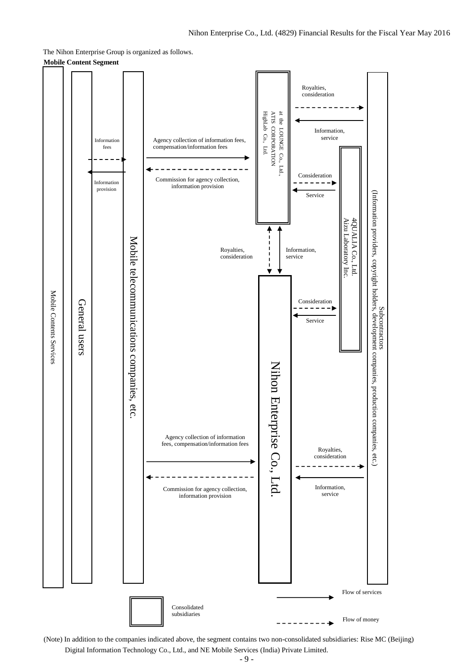The Nihon Enterprise Group is organized as follows.

**Mobile Content Segment**



(Note) In addition to the companies indicated above, the segment contains two non-consolidated subsidiaries: Rise MC (Beijing) Digital Information Technology Co., Ltd., and NE Mobile Services (India) Private Limited.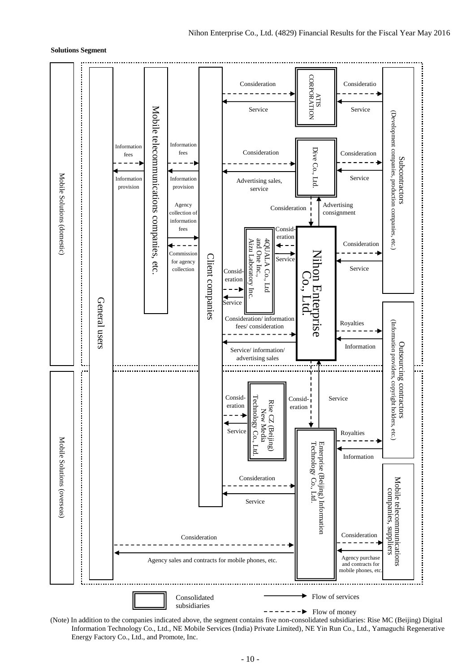### **Solutions Segment**



(Note) In addition to the companies indicated above, the segment contains five non-consolidated subsidiaries: Rise MC (Beijing) Digital Information Technology Co., Ltd., NE Mobile Services (India) Private Limited), NE Yin Run Co., Ltd., Yamaguchi Regenerative Energy Factory Co., Ltd., and Promote, Inc.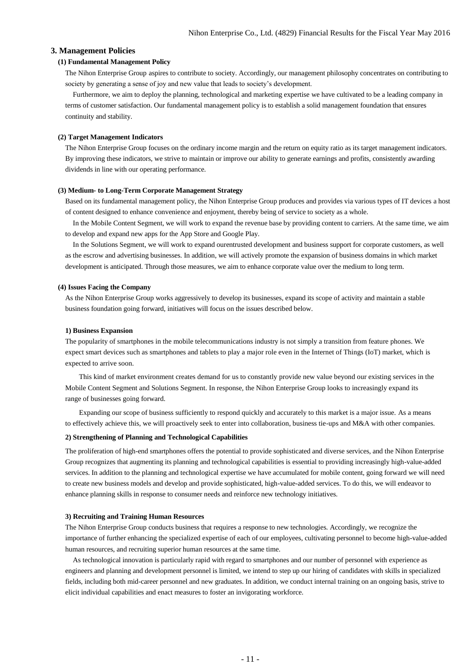## **3. Management Policies**

### **(1) Fundamental Management Policy**

The Nihon Enterprise Group aspires to contribute to society. Accordingly, our management philosophy concentrates on contributing to society by generating a sense of joy and new value that leads to society's development.

Furthermore, we aim to deploy the planning, technological and marketing expertise we have cultivated to be a leading company in terms of customer satisfaction. Our fundamental management policy is to establish a solid management foundation that ensures continuity and stability.

### **(2) Target Management Indicators**

The Nihon Enterprise Group focuses on the ordinary income margin and the return on equity ratio as its target management indicators. By improving these indicators, we strive to maintain or improve our ability to generate earnings and profits, consistently awarding dividends in line with our operating performance.

## **(3) Medium- to Long-Term Corporate Management Strategy**

Based on its fundamental management policy, the Nihon Enterprise Group produces and provides via various types of IT devices a host of content designed to enhance convenience and enjoyment, thereby being of service to society as a whole.

In the Mobile Content Segment, we will work to expand the revenue base by providing content to carriers. At the same time, we aim to develop and expand new apps for the App Store and Google Play.

In the Solutions Segment, we will work to expand ourentrusted development and business support for corporate customers, as well as the escrow and advertising businesses. In addition, we will actively promote the expansion of business domains in which market development is anticipated. Through those measures, we aim to enhance corporate value over the medium to long term.

## **(4) Issues Facing the Company**

As the Nihon Enterprise Group works aggressively to develop its businesses, expand its scope of activity and maintain a stable business foundation going forward, initiatives will focus on the issues described below.

#### **1) Business Expansion**

The popularity of smartphones in the mobile telecommunications industry is not simply a transition from feature phones. We expect smart devices such as smartphones and tablets to play a major role even in the Internet of Things (IoT) market, which is expected to arrive soon.

This kind of market environment creates demand for us to constantly provide new value beyond our existing services in the Mobile Content Segment and Solutions Segment. In response, the Nihon Enterprise Group looks to increasingly expand its range of businesses going forward.

Expanding our scope of business sufficiently to respond quickly and accurately to this market is a major issue. As a means to effectively achieve this, we will proactively seek to enter into collaboration, business tie-ups and M&A with other companies.

# **2) Strengthening of Planning and Technological Capabilities**

The proliferation of high-end smartphones offers the potential to provide sophisticated and diverse services, and the Nihon Enterprise Group recognizes that augmenting its planning and technological capabilities is essential to providing increasingly high-value-added services. In addition to the planning and technological expertise we have accumulated for mobile content, going forward we will need to create new business models and develop and provide sophisticated, high-value-added services. To do this, we will endeavor to enhance planning skills in response to consumer needs and reinforce new technology initiatives.

#### **3) Recruiting and Training Human Resources**

The Nihon Enterprise Group conducts business that requires a response to new technologies. Accordingly, we recognize the importance of further enhancing the specialized expertise of each of our employees, cultivating personnel to become high-value-added human resources, and recruiting superior human resources at the same time.

As technological innovation is particularly rapid with regard to smartphones and our number of personnel with experience as engineers and planning and development personnel is limited, we intend to step up our hiring of candidates with skills in specialized fields, including both mid-career personnel and new graduates. In addition, we conduct internal training on an ongoing basis, strive to elicit individual capabilities and enact measures to foster an invigorating workforce.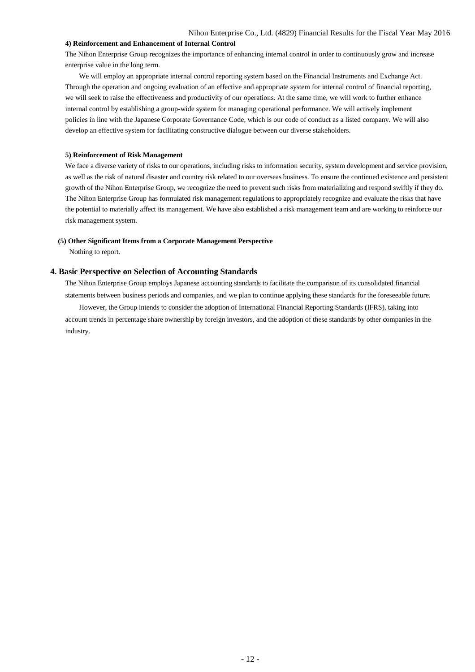## **4) Reinforcement and Enhancement of Internal Control**

The Nihon Enterprise Group recognizes the importance of enhancing internal control in order to continuously grow and increase enterprise value in the long term.

We will employ an appropriate internal control reporting system based on the Financial Instruments and Exchange Act. Through the operation and ongoing evaluation of an effective and appropriate system for internal control of financial reporting, we will seek to raise the effectiveness and productivity of our operations. At the same time, we will work to further enhance internal control by establishing a group-wide system for managing operational performance. We will actively implement policies in line with the Japanese Corporate Governance Code, which is our code of conduct as a listed company. We will also develop an effective system for facilitating constructive dialogue between our diverse stakeholders.

### **5) Reinforcement of Risk Management**

We face a diverse variety of risks to our operations, including risks to information security, system development and service provision, as well as the risk of natural disaster and country risk related to our overseas business. To ensure the continued existence and persistent growth of the Nihon Enterprise Group, we recognize the need to prevent such risks from materializing and respond swiftly if they do. The Nihon Enterprise Group has formulated risk management regulations to appropriately recognize and evaluate the risks that have the potential to materially affect its management. We have also established a risk management team and are working to reinforce our risk management system.

#### **(5) Other Significant Items from a Corporate Management Perspective**

Nothing to report.

### **4. Basic Perspective on Selection of Accounting Standards**

The Nihon Enterprise Group employs Japanese accounting standards to facilitate the comparison of its consolidated financial statements between business periods and companies, and we plan to continue applying these standards for the foreseeable future. However, the Group intends to consider the adoption of International Financial Reporting Standards (IFRS), taking into account trends in percentage share ownership by foreign investors, and the adoption of these standards by other companies in the industry.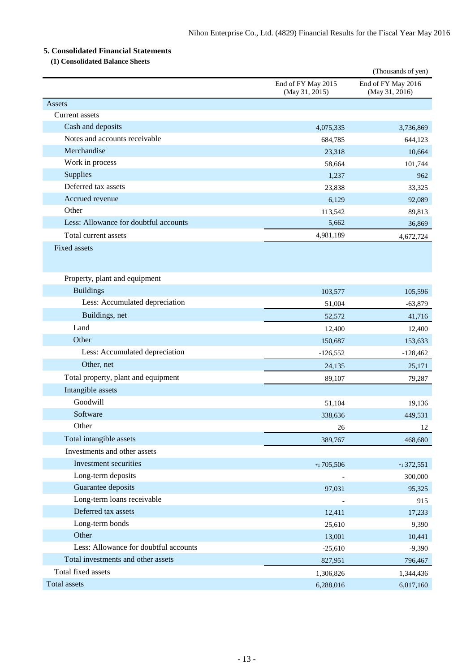# **5. Consolidated Financial Statements**

**(1) Consolidated Balance Sheets**

|                                       |                                      | (Thousands of yen)                   |
|---------------------------------------|--------------------------------------|--------------------------------------|
|                                       | End of FY May 2015<br>(May 31, 2015) | End of FY May 2016<br>(May 31, 2016) |
| Assets                                |                                      |                                      |
| Current assets                        |                                      |                                      |
| Cash and deposits                     | 4,075,335                            | 3,736,869                            |
| Notes and accounts receivable         | 684,785                              | 644,123                              |
| Merchandise                           | 23,318                               | 10,664                               |
| Work in process                       | 58.664                               | 101,744                              |
| Supplies                              | 1,237                                | 962                                  |
| Deferred tax assets                   | 23,838                               | 33,325                               |
| Accrued revenue                       | 6,129                                | 92,089                               |
| Other                                 | 113,542                              | 89,813                               |
| Less: Allowance for doubtful accounts | 5,662                                | 36,869                               |
| Total current assets                  | 4,981,189                            | 4,672,724                            |
| Fixed assets                          |                                      |                                      |
| Property, plant and equipment         |                                      |                                      |
| <b>Buildings</b>                      | 103,577                              | 105,596                              |
| Less: Accumulated depreciation        | 51,004                               | $-63,879$                            |
| Buildings, net                        | 52,572                               | 41,716                               |
| Land                                  | 12,400                               | 12,400                               |
| Other                                 | 150,687                              | 153,633                              |
| Less: Accumulated depreciation        | $-126,552$                           | $-128,462$                           |
| Other, net                            | 24,135                               | 25,171                               |
| Total property, plant and equipment   | 89,107                               | 79,287                               |
| Intangible assets                     |                                      |                                      |
| Goodwill                              | 51,104                               | 19,136                               |
| Software                              | 338,636                              | 449,531                              |
| Other                                 | 26                                   | 12                                   |
| Total intangible assets               | 389,767                              | 468,680                              |
| Investments and other assets          |                                      |                                      |
| Investment securities                 | $*$ 1705,506                         | $*1372,551$                          |
| Long-term deposits                    |                                      | 300,000                              |
| Guarantee deposits                    | 97,031                               | 95,325                               |
| Long-term loans receivable            |                                      | 915                                  |
| Deferred tax assets                   | 12,411                               | 17,233                               |
| Long-term bonds                       | 25,610                               | 9,390                                |
| Other                                 | 13,001                               | 10,441                               |
| Less: Allowance for doubtful accounts | $-25,610$                            | $-9,390$                             |
| Total investments and other assets    | 827,951                              | 796,467                              |
| Total fixed assets                    | 1,306,826                            | 1,344,436                            |
| Total assets                          | 6,288,016                            | 6,017,160                            |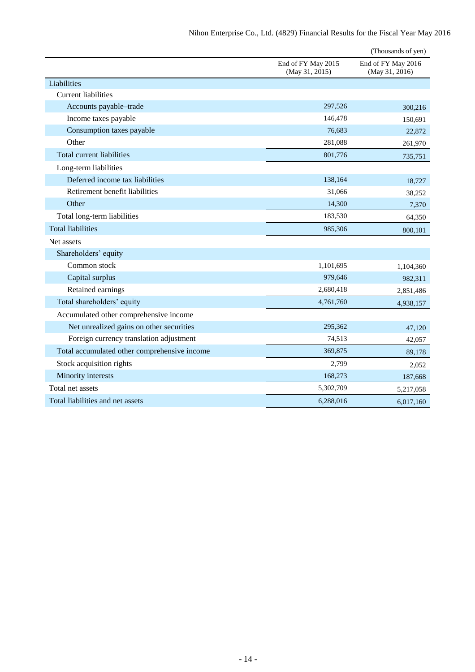|                                              |                                      | (Thousands of yen)                   |
|----------------------------------------------|--------------------------------------|--------------------------------------|
|                                              | End of FY May 2015<br>(May 31, 2015) | End of FY May 2016<br>(May 31, 2016) |
| Liabilities                                  |                                      |                                      |
| <b>Current liabilities</b>                   |                                      |                                      |
| Accounts payable-trade                       | 297,526                              | 300,216                              |
| Income taxes payable                         | 146,478                              | 150,691                              |
| Consumption taxes payable                    | 76,683                               | 22,872                               |
| Other                                        | 281,088                              | 261,970                              |
| Total current liabilities                    | 801,776                              | 735,751                              |
| Long-term liabilities                        |                                      |                                      |
| Deferred income tax liabilities              | 138,164                              | 18,727                               |
| Retirement benefit liabilities               | 31,066                               | 38,252                               |
| Other                                        | 14,300                               | 7,370                                |
| Total long-term liabilities                  | 183,530                              | 64,350                               |
| <b>Total liabilities</b>                     | 985,306                              | 800,101                              |
| Net assets                                   |                                      |                                      |
| Shareholders' equity                         |                                      |                                      |
| Common stock                                 | 1,101,695                            | 1,104,360                            |
| Capital surplus                              | 979,646                              | 982,311                              |
| Retained earnings                            | 2,680,418                            | 2,851,486                            |
| Total shareholders' equity                   | 4,761,760                            | 4,938,157                            |
| Accumulated other comprehensive income       |                                      |                                      |
| Net unrealized gains on other securities     | 295,362                              | 47,120                               |
| Foreign currency translation adjustment      | 74,513                               | 42,057                               |
| Total accumulated other comprehensive income | 369,875                              | 89,178                               |
| Stock acquisition rights                     | 2,799                                | 2,052                                |
| Minority interests                           | 168,273                              | 187,668                              |
| Total net assets                             | 5,302,709                            | 5,217,058                            |
| Total liabilities and net assets             | 6,288,016                            | 6,017,160                            |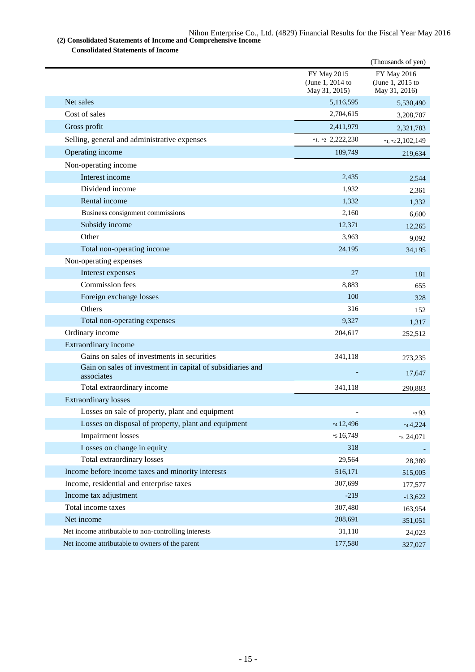**(2) Consolidated Statements of Income and Comprehensive Income Consolidated Statements of Income**

|                                                                          |                                                         | (Thousands of yen)                                      |
|--------------------------------------------------------------------------|---------------------------------------------------------|---------------------------------------------------------|
|                                                                          | <b>FY May 2015</b><br>(June 1, 2014 to<br>May 31, 2015) | <b>FY May 2016</b><br>(June 1, 2015 to<br>May 31, 2016) |
| Net sales                                                                | 5,116,595                                               | 5,530,490                                               |
| Cost of sales                                                            | 2,704,615                                               | 3,208,707                                               |
| Gross profit                                                             | 2,411,979                                               | 2,321,783                                               |
| Selling, general and administrative expenses                             | $*1$ , $*2$ 2,222,230                                   | $*_{1,*2}$ 2,102,149                                    |
| Operating income                                                         | 189,749                                                 | 219,634                                                 |
| Non-operating income                                                     |                                                         |                                                         |
| Interest income                                                          | 2,435                                                   | 2,544                                                   |
| Dividend income                                                          | 1,932                                                   | 2,361                                                   |
| Rental income                                                            | 1,332                                                   | 1,332                                                   |
| Business consignment commissions                                         | 2,160                                                   | 6.600                                                   |
| Subsidy income                                                           | 12,371                                                  | 12,265                                                  |
| Other                                                                    | 3,963                                                   | 9,092                                                   |
| Total non-operating income                                               | 24,195                                                  | 34,195                                                  |
| Non-operating expenses                                                   |                                                         |                                                         |
| Interest expenses                                                        | 27                                                      | 181                                                     |
| Commission fees                                                          | 8,883                                                   | 655                                                     |
| Foreign exchange losses                                                  | 100                                                     | 328                                                     |
| Others                                                                   | 316                                                     | 152                                                     |
| Total non-operating expenses                                             | 9,327                                                   | 1,317                                                   |
| Ordinary income                                                          | 204,617                                                 | 252,512                                                 |
| Extraordinary income                                                     |                                                         |                                                         |
| Gains on sales of investments in securities                              | 341,118                                                 | 273,235                                                 |
| Gain on sales of investment in capital of subsidiaries and<br>associates |                                                         | 17,647                                                  |
| Total extraordinary income                                               | 341,118                                                 | 290,883                                                 |
| <b>Extraordinary losses</b>                                              |                                                         |                                                         |
| Losses on sale of property, plant and equipment                          |                                                         | *393                                                    |
| Losses on disposal of property, plant and equipment                      | *4 12,496                                               | $*_{4}4,224$                                            |
| <b>Impairment</b> losses                                                 | *5 16,749                                               | *5 24,071                                               |
| Losses on change in equity                                               | 318                                                     |                                                         |
| Total extraordinary losses                                               | 29,564                                                  | 28,389                                                  |
| Income before income taxes and minority interests                        | 516,171                                                 | 515,005                                                 |
| Income, residential and enterprise taxes                                 | 307,699                                                 | 177,577                                                 |
| Income tax adjustment                                                    | $-219$                                                  | $-13,622$                                               |
| Total income taxes                                                       | 307,480                                                 | 163,954                                                 |
| Net income                                                               | 208,691                                                 | 351,051                                                 |
| Net income attributable to non-controlling interests                     | 31,110                                                  | 24,023                                                  |
| Net income attributable to owners of the parent                          | 177,580                                                 | 327,027                                                 |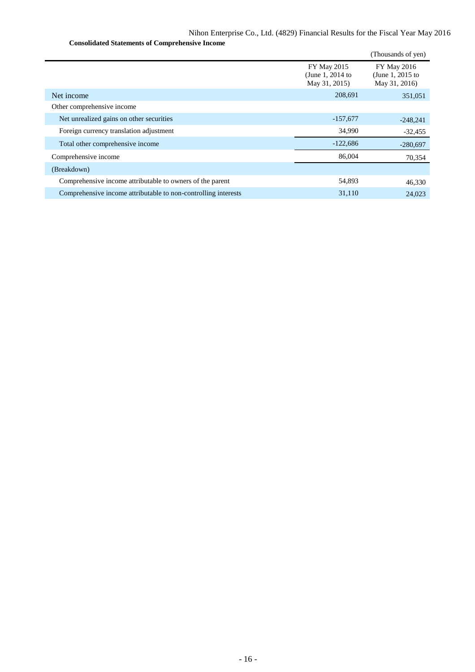**Consolidated Statements of Comprehensive Income**

|                                                                |                                                  | (Thousands of yen)                                      |
|----------------------------------------------------------------|--------------------------------------------------|---------------------------------------------------------|
|                                                                | FY May 2015<br>(June 1, 2014 to<br>May 31, 2015) | <b>FY May 2016</b><br>(June 1, 2015 to<br>May 31, 2016) |
| Net income                                                     | 208,691                                          | 351,051                                                 |
| Other comprehensive income                                     |                                                  |                                                         |
| Net unrealized gains on other securities                       | $-157,677$                                       | $-248,241$                                              |
| Foreign currency translation adjustment                        | 34,990                                           | $-32,455$                                               |
| Total other comprehensive income                               | $-122,686$                                       | $-280,697$                                              |
| Comprehensive income                                           | 86,004                                           | 70,354                                                  |
| (Breakdown)                                                    |                                                  |                                                         |
| Comprehensive income attributable to owners of the parent      | 54,893                                           | 46,330                                                  |
| Comprehensive income attributable to non-controlling interests | 31,110                                           | 24,023                                                  |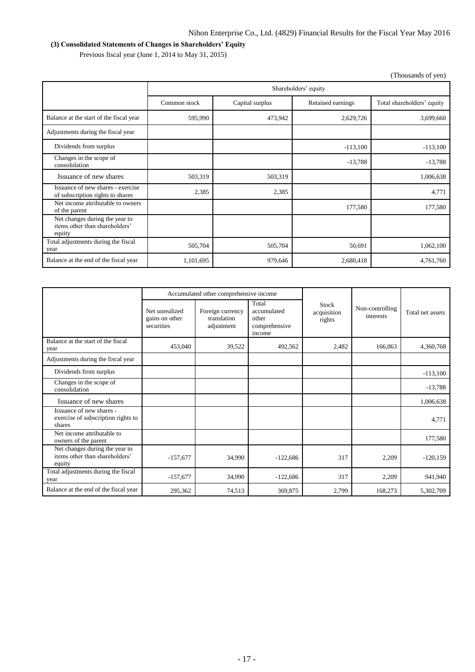# **(3) Consolidated Statements of Changes in Shareholders' Equity**

Previous fiscal year (June 1, 2014 to May 31, 2015)

| (Thousands of yen)                                                         |              |                                                                    |            |            |  |  |  |
|----------------------------------------------------------------------------|--------------|--------------------------------------------------------------------|------------|------------|--|--|--|
|                                                                            |              | Shareholders' equity                                               |            |            |  |  |  |
|                                                                            | Common stock | Total shareholders' equity<br>Capital surplus<br>Retained earnings |            |            |  |  |  |
| Balance at the start of the fiscal year                                    | 595,990      | 473,942                                                            | 2,629,726  | 3,699,660  |  |  |  |
| Adjustments during the fiscal year                                         |              |                                                                    |            |            |  |  |  |
| Dividends from surplus                                                     |              |                                                                    | $-113,100$ | $-113,100$ |  |  |  |
| Changes in the scope of<br>consolidation                                   |              |                                                                    | $-13,788$  | $-13,788$  |  |  |  |
| Issuance of new shares                                                     | 503,319      | 503,319                                                            |            | 1,006,638  |  |  |  |
| Issuance of new shares - exercise<br>of subscription rights to shares      | 2,385        | 2,385                                                              |            | 4,771      |  |  |  |
| Net income attributable to owners<br>of the parent                         |              |                                                                    | 177,580    | 177,580    |  |  |  |
| Net changes during the year to<br>items other than shareholders'<br>equity |              |                                                                    |            |            |  |  |  |
| Total adjustments during the fiscal<br>year                                | 505,704      | 505,704                                                            | 50,691     | 1,062,100  |  |  |  |
| Balance at the end of the fiscal year                                      | 1,101,695    | 979,646                                                            | 2,680,418  | 4,761,760  |  |  |  |

|                                                                            | Accumulated other comprehensive income         |                                               |                                                          |                                       |                              |                  |
|----------------------------------------------------------------------------|------------------------------------------------|-----------------------------------------------|----------------------------------------------------------|---------------------------------------|------------------------------|------------------|
|                                                                            | Net unrealized<br>gains on other<br>securities | Foreign currency<br>translation<br>adjustment | Total<br>accumulated<br>other<br>comprehensive<br>income | <b>Stock</b><br>acquisition<br>rights | Non-controlling<br>interests | Total net assets |
| Balance at the start of the fiscal<br>year                                 | 453,040                                        | 39,522                                        | 492,562                                                  | 2,482                                 | 166,063                      | 4,360,768        |
| Adjustments during the fiscal year                                         |                                                |                                               |                                                          |                                       |                              |                  |
| Dividends from surplus                                                     |                                                |                                               |                                                          |                                       |                              | $-113,100$       |
| Changes in the scope of<br>consolidation                                   |                                                |                                               |                                                          |                                       |                              | $-13,788$        |
| Issuance of new shares                                                     |                                                |                                               |                                                          |                                       |                              | 1,006,638        |
| Issuance of new shares -<br>exercise of subscription rights to<br>shares   |                                                |                                               |                                                          |                                       |                              | 4,771            |
| Net income attributable to<br>owners of the parent                         |                                                |                                               |                                                          |                                       |                              | 177,580          |
| Net changes during the year to<br>items other than shareholders'<br>equity | $-157,677$                                     | 34,990                                        | $-122,686$                                               | 317                                   | 2,209                        | $-120,159$       |
| Total adjustments during the fiscal<br>year                                | $-157,677$                                     | 34,990                                        | $-122,686$                                               | 317                                   | 2,209                        | 941,940          |
| Balance at the end of the fiscal year                                      | 295,362                                        | 74,513                                        | 369,875                                                  | 2,799                                 | 168,273                      | 5,302,709        |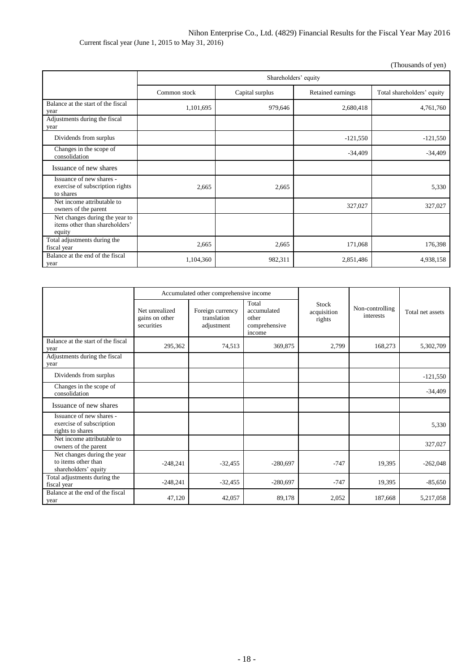Nihon Enterprise Co., Ltd. (4829) Financial Results for the Fiscal Year May 2016 Current fiscal year (June 1, 2015 to May 31, 2016)

(Thousands of yen)

|                                                                            | Shareholders' equity |                                      |            |                            |  |  |  |
|----------------------------------------------------------------------------|----------------------|--------------------------------------|------------|----------------------------|--|--|--|
|                                                                            | Common stock         | Retained earnings<br>Capital surplus |            | Total shareholders' equity |  |  |  |
| Balance at the start of the fiscal<br>year                                 | 1,101,695            | 979,646                              | 2,680,418  | 4,761,760                  |  |  |  |
| Adjustments during the fiscal<br>year                                      |                      |                                      |            |                            |  |  |  |
| Dividends from surplus                                                     |                      |                                      | $-121,550$ | $-121,550$                 |  |  |  |
| Changes in the scope of<br>consolidation                                   |                      |                                      | $-34,409$  | $-34,409$                  |  |  |  |
| Issuance of new shares                                                     |                      |                                      |            |                            |  |  |  |
| Issuance of new shares -<br>exercise of subscription rights<br>to shares   | 2,665                | 2,665                                |            | 5,330                      |  |  |  |
| Net income attributable to<br>owners of the parent                         |                      |                                      | 327,027    | 327,027                    |  |  |  |
| Net changes during the year to<br>items other than shareholders'<br>equity |                      |                                      |            |                            |  |  |  |
| Total adjustments during the<br>fiscal year                                | 2,665                | 2,665                                | 171,068    | 176,398                    |  |  |  |
| Balance at the end of the fiscal<br>year                                   | 1,104,360            | 982,311                              | 2,851,486  | 4,938,158                  |  |  |  |

|                                                                            |                                                | Accumulated other comprehensive income        |                                                          |                                |                              |                  |
|----------------------------------------------------------------------------|------------------------------------------------|-----------------------------------------------|----------------------------------------------------------|--------------------------------|------------------------------|------------------|
|                                                                            | Net unrealized<br>gains on other<br>securities | Foreign currency<br>translation<br>adjustment | Total<br>accumulated<br>other<br>comprehensive<br>income | Stock<br>acquisition<br>rights | Non-controlling<br>interests | Total net assets |
| Balance at the start of the fiscal<br>year                                 | 295,362                                        | 74,513                                        | 369,875                                                  | 2,799                          | 168,273                      | 5,302,709        |
| Adjustments during the fiscal<br>year                                      |                                                |                                               |                                                          |                                |                              |                  |
| Dividends from surplus                                                     |                                                |                                               |                                                          |                                |                              | $-121,550$       |
| Changes in the scope of<br>consolidation                                   |                                                |                                               |                                                          |                                |                              | $-34,409$        |
| Issuance of new shares                                                     |                                                |                                               |                                                          |                                |                              |                  |
| Issuance of new shares -<br>exercise of subscription<br>rights to shares   |                                                |                                               |                                                          |                                |                              | 5,330            |
| Net income attributable to<br>owners of the parent                         |                                                |                                               |                                                          |                                |                              | 327,027          |
| Net changes during the year<br>to items other than<br>shareholders' equity | $-248,241$                                     | $-32,455$                                     | $-280,697$                                               | $-747$                         | 19,395                       | $-262,048$       |
| Total adjustments during the<br>fiscal year                                | $-248,241$                                     | $-32,455$                                     | $-280,697$                                               | $-747$                         | 19,395                       | $-85,650$        |
| Balance at the end of the fiscal<br>year                                   | 47,120                                         | 42,057                                        | 89,178                                                   | 2,052                          | 187,668                      | 5,217,058        |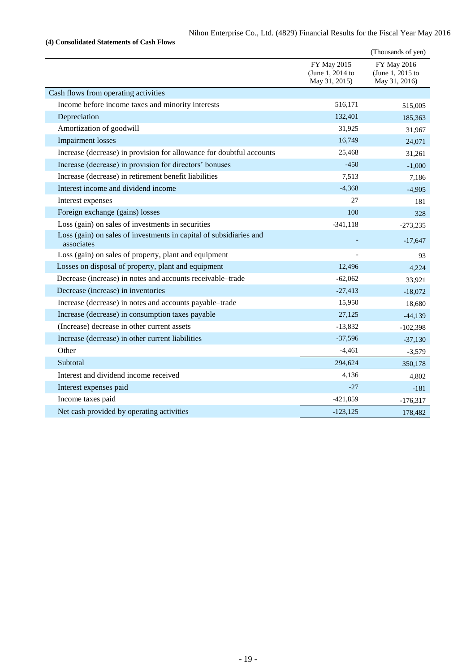|                                                                                  |                                                  | (Thousands of yen)                               |
|----------------------------------------------------------------------------------|--------------------------------------------------|--------------------------------------------------|
|                                                                                  | FY May 2015<br>(June 1, 2014 to<br>May 31, 2015) | FY May 2016<br>(June 1, 2015 to<br>May 31, 2016) |
| Cash flows from operating activities                                             |                                                  |                                                  |
| Income before income taxes and minority interests                                | 516,171                                          | 515,005                                          |
| Depreciation                                                                     | 132,401                                          | 185,363                                          |
| Amortization of goodwill                                                         | 31,925                                           | 31,967                                           |
| <b>Impairment</b> losses                                                         | 16,749                                           | 24,071                                           |
| Increase (decrease) in provision for allowance for doubtful accounts             | 25,468                                           | 31,261                                           |
| Increase (decrease) in provision for directors' bonuses                          | $-450$                                           | $-1,000$                                         |
| Increase (decrease) in retirement benefit liabilities                            | 7,513                                            | 7,186                                            |
| Interest income and dividend income                                              | $-4,368$                                         | $-4,905$                                         |
| Interest expenses                                                                | 27                                               | 181                                              |
| Foreign exchange (gains) losses                                                  | 100                                              | 328                                              |
| Loss (gain) on sales of investments in securities                                | $-341, 118$                                      | $-273,235$                                       |
| Loss (gain) on sales of investments in capital of subsidiaries and<br>associates |                                                  | $-17,647$                                        |
| Loss (gain) on sales of property, plant and equipment                            |                                                  | 93                                               |
| Losses on disposal of property, plant and equipment                              | 12,496                                           | 4,224                                            |
| Decrease (increase) in notes and accounts receivable-trade                       | $-62,062$                                        | 33,921                                           |
| Decrease (increase) in inventories                                               | $-27,413$                                        | $-18,072$                                        |
| Increase (decrease) in notes and accounts payable-trade                          | 15,950                                           | 18,680                                           |
| Increase (decrease) in consumption taxes payable                                 | 27,125                                           | $-44,139$                                        |
| (Increase) decrease in other current assets                                      | $-13,832$                                        | $-102,398$                                       |
| Increase (decrease) in other current liabilities                                 | $-37,596$                                        | $-37,130$                                        |
| Other                                                                            | $-4,461$                                         | $-3,579$                                         |
| Subtotal                                                                         | 294,624                                          | 350,178                                          |
| Interest and dividend income received                                            | 4,136                                            | 4,802                                            |
| Interest expenses paid                                                           | $-27$                                            | $-181$                                           |
| Income taxes paid                                                                | $-421,859$                                       | $-176,317$                                       |
| Net cash provided by operating activities                                        | $-123,125$                                       | 178,482                                          |

**(4) Consolidated Statements of Cash Flows**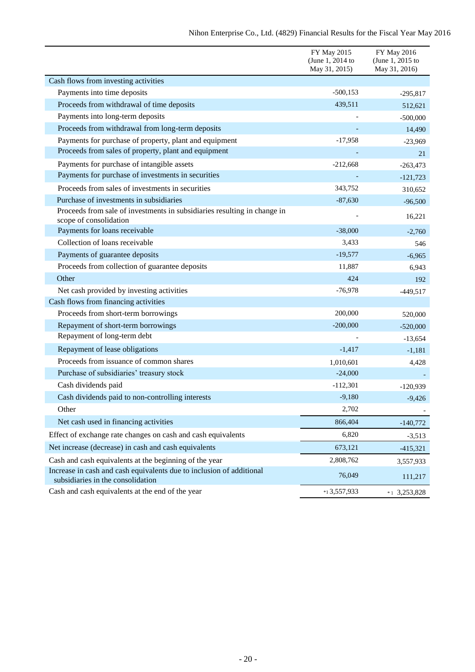| Nihon Enterprise Co., Ltd. (4829) Financial Results for the Fiscal Year May 2016 |  |  |  |  |  |
|----------------------------------------------------------------------------------|--|--|--|--|--|
|----------------------------------------------------------------------------------|--|--|--|--|--|

|                                                                                                           | FY May 2015<br>(June 1, 2014 to<br>May 31, 2015) | FY May 2016<br>(June 1, 2015 to<br>May 31, 2016) |
|-----------------------------------------------------------------------------------------------------------|--------------------------------------------------|--------------------------------------------------|
| Cash flows from investing activities                                                                      |                                                  |                                                  |
| Payments into time deposits                                                                               | $-500,153$                                       | $-295,817$                                       |
| Proceeds from withdrawal of time deposits                                                                 | 439,511                                          | 512,621                                          |
| Payments into long-term deposits                                                                          |                                                  | $-500,000$                                       |
| Proceeds from withdrawal from long-term deposits                                                          |                                                  | 14,490                                           |
| Payments for purchase of property, plant and equipment                                                    | $-17,958$                                        | $-23,969$                                        |
| Proceeds from sales of property, plant and equipment                                                      |                                                  | 21                                               |
| Payments for purchase of intangible assets                                                                | $-212,668$                                       | $-263,473$                                       |
| Payments for purchase of investments in securities                                                        |                                                  | $-121,723$                                       |
| Proceeds from sales of investments in securities                                                          | 343,752                                          | 310,652                                          |
| Purchase of investments in subsidiaries                                                                   | $-87,630$                                        | $-96,500$                                        |
| Proceeds from sale of investments in subsidiaries resulting in change in<br>scope of consolidation        |                                                  | 16,221                                           |
| Payments for loans receivable                                                                             | $-38,000$                                        | $-2,760$                                         |
| Collection of loans receivable                                                                            | 3,433                                            | 546                                              |
| Payments of guarantee deposits                                                                            | $-19,577$                                        | $-6,965$                                         |
| Proceeds from collection of guarantee deposits                                                            | 11,887                                           | 6,943                                            |
| Other                                                                                                     | 424                                              | 192                                              |
| Net cash provided by investing activities                                                                 | $-76,978$                                        | $-449,517$                                       |
| Cash flows from financing activities                                                                      |                                                  |                                                  |
| Proceeds from short-term borrowings                                                                       | 200,000                                          | 520,000                                          |
| Repayment of short-term borrowings                                                                        | $-200,000$                                       | $-520,000$                                       |
| Repayment of long-term debt                                                                               |                                                  | $-13,654$                                        |
| Repayment of lease obligations                                                                            | $-1,417$                                         | $-1,181$                                         |
| Proceeds from issuance of common shares                                                                   | 1,010,601                                        | 4,428                                            |
| Purchase of subsidiaries' treasury stock                                                                  | $-24,000$                                        |                                                  |
| Cash dividends paid                                                                                       | $-112,301$                                       | $-120,939$                                       |
| Cash dividends paid to non-controlling interests                                                          | $-9,180$                                         | $-9,426$                                         |
| Other                                                                                                     | 2,702                                            |                                                  |
| Net cash used in financing activities                                                                     | 866,404                                          | $-140,772$                                       |
| Effect of exchange rate changes on cash and cash equivalents                                              | 6,820                                            | $-3,513$                                         |
| Net increase (decrease) in cash and cash equivalents                                                      | 673,121                                          | $-415,321$                                       |
| Cash and cash equivalents at the beginning of the year                                                    | 2,808,762                                        | 3,557,933                                        |
| Increase in cash and cash equivalents due to inclusion of additional<br>subsidiaries in the consolidation | 76,049                                           | 111,217                                          |
| Cash and cash equivalents at the end of the year                                                          | *13,557,933                                      | $*1$ 3,253,828                                   |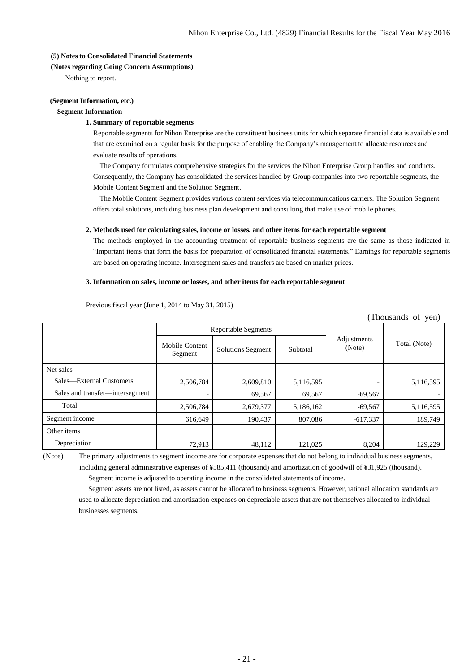### **(5) Notes to Consolidated Financial Statements**

### **(Notes regarding Going Concern Assumptions)**

Nothing to report.

## **(Segment Information, etc.)**

## **Segment Information**

## **1. Summary of reportable segments**

Reportable segments for Nihon Enterprise are the constituent business units for which separate financial data is available and that are examined on a regular basis for the purpose of enabling the Company's management to allocate resources and evaluate results of operations.

The Company formulates comprehensive strategies for the services the Nihon Enterprise Group handles and conducts. Consequently, the Company has consolidated the services handled by Group companies into two reportable segments, the Mobile Content Segment and the Solution Segment.

The Mobile Content Segment provides various content services via telecommunications carriers. The Solution Segment offers total solutions, including business plan development and consulting that make use of mobile phones.

### **2. Methods used for calculating sales, income or losses, and other items for each reportable segment**

The methods employed in the accounting treatment of reportable business segments are the same as those indicated in "Important items that form the basis for preparation of consolidated financial statements." Earnings for reportable segments are based on operating income. Intersegment sales and transfers are based on market prices.

### **3. Information on sales, income or losses, and other items for each reportable segment**

| (Thousands of yen)              |                           |                            |           |                       |              |  |
|---------------------------------|---------------------------|----------------------------|-----------|-----------------------|--------------|--|
|                                 |                           | <b>Reportable Segments</b> |           |                       |              |  |
|                                 | Mobile Content<br>Segment | <b>Solutions Segment</b>   | Subtotal  | Adjustments<br>(Note) | Total (Note) |  |
| Net sales                       |                           |                            |           |                       |              |  |
| Sales—External Customers        | 2,506,784                 | 2,609,810                  | 5,116,595 |                       | 5,116,595    |  |
| Sales and transfer-intersegment |                           | 69,567                     | 69,567    | $-69,567$             |              |  |
| Total                           | 2,506,784                 | 2,679,377                  | 5,186,162 | $-69,567$             | 5,116,595    |  |
| Segment income                  | 616,649                   | 190,437                    | 807,086   | $-617,337$            | 189,749      |  |
| Other items                     |                           |                            |           |                       |              |  |
| Depreciation                    | 72,913                    | 48,112                     | 121,025   | 8,204                 | 129,229      |  |

Previous fiscal year (June 1, 2014 to May 31, 2015)

(Note) The primary adjustments to segment income are for corporate expenses that do not belong to individual business segments, including general administrative expenses of ¥585,411 (thousand) and amortization of goodwill of ¥31,925 (thousand).

Segment income is adjusted to operating income in the consolidated statements of income.

Segment assets are not listed, as assets cannot be allocated to business segments. However, rational allocation standards are used to allocate depreciation and amortization expenses on depreciable assets that are not themselves allocated to individual businesses segments.